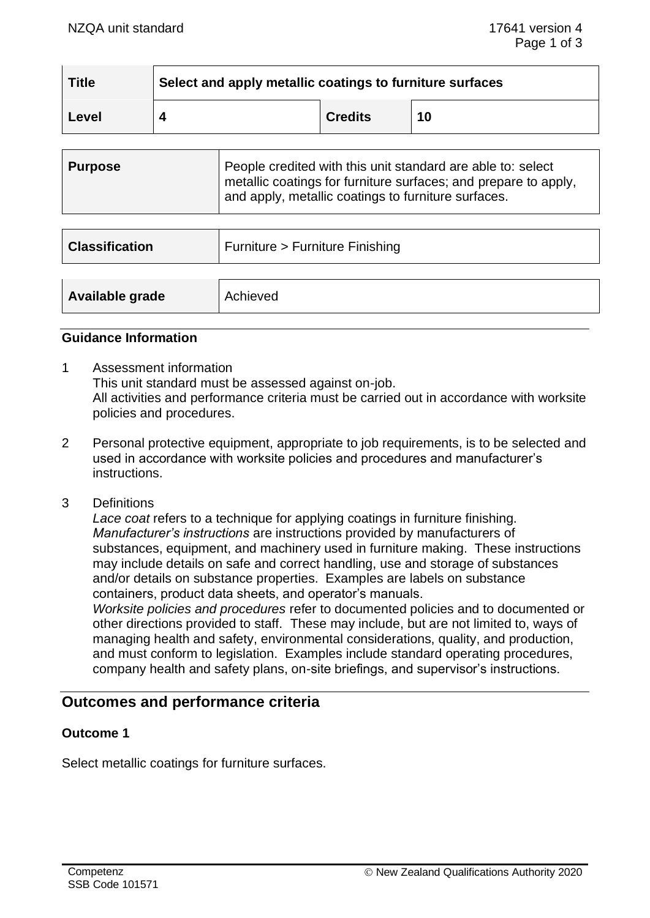| <b>Title</b> | Select and apply metallic coatings to furniture surfaces |                |    |
|--------------|----------------------------------------------------------|----------------|----|
| Level        |                                                          | <b>Credits</b> | 10 |

| ∣ Purpose | People credited with this unit standard are able to: select<br>metallic coatings for furniture surfaces; and prepare to apply, |
|-----------|--------------------------------------------------------------------------------------------------------------------------------|
|           | and apply, metallic coatings to furniture surfaces.                                                                            |

| <b>Classification</b> | Furniture > Furniture Finishing |
|-----------------------|---------------------------------|
| Available grade       | Achieved                        |
|                       |                                 |

#### **Guidance Information**

- 1 Assessment information This unit standard must be assessed against on-job. All activities and performance criteria must be carried out in accordance with worksite policies and procedures.
- 2 Personal protective equipment, appropriate to job requirements, is to be selected and used in accordance with worksite policies and procedures and manufacturer's instructions.
- 3 Definitions

*Lace coat* refers to a technique for applying coatings in furniture finishing. *Manufacturer's instructions* are instructions provided by manufacturers of substances, equipment, and machinery used in furniture making. These instructions may include details on safe and correct handling, use and storage of substances and/or details on substance properties. Examples are labels on substance containers, product data sheets, and operator's manuals.

*Worksite policies and procedures* refer to documented policies and to documented or other directions provided to staff. These may include, but are not limited to, ways of managing health and safety, environmental considerations, quality, and production, and must conform to legislation. Examples include standard operating procedures, company health and safety plans, on-site briefings, and supervisor's instructions.

# **Outcomes and performance criteria**

### **Outcome 1**

Select metallic coatings for furniture surfaces.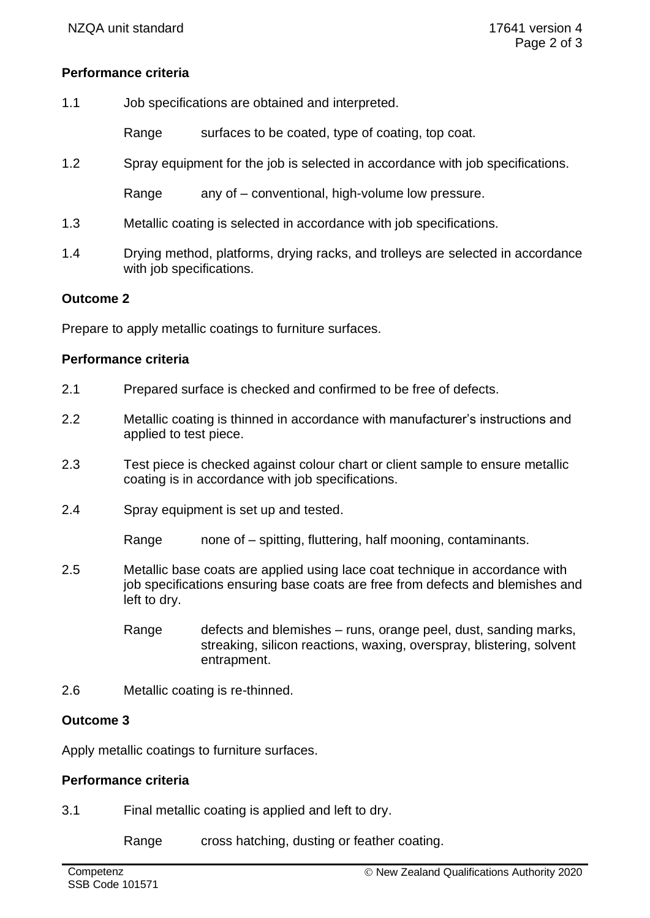# **Performance criteria**

1.1 Job specifications are obtained and interpreted.

Range surfaces to be coated, type of coating, top coat.

1.2 Spray equipment for the job is selected in accordance with job specifications.

Range any of – conventional, high-volume low pressure.

- 1.3 Metallic coating is selected in accordance with job specifications.
- 1.4 Drying method, platforms, drying racks, and trolleys are selected in accordance with job specifications.

# **Outcome 2**

Prepare to apply metallic coatings to furniture surfaces.

### **Performance criteria**

- 2.1 Prepared surface is checked and confirmed to be free of defects.
- 2.2 Metallic coating is thinned in accordance with manufacturer's instructions and applied to test piece.
- 2.3 Test piece is checked against colour chart or client sample to ensure metallic coating is in accordance with job specifications.
- 2.4 Spray equipment is set up and tested.

Range none of – spitting, fluttering, half mooning, contaminants.

- 2.5 Metallic base coats are applied using lace coat technique in accordance with job specifications ensuring base coats are free from defects and blemishes and left to dry.
	- Range defects and blemishes runs, orange peel, dust, sanding marks, streaking, silicon reactions, waxing, overspray, blistering, solvent entrapment.
- 2.6 Metallic coating is re-thinned.

### **Outcome 3**

Apply metallic coatings to furniture surfaces.

### **Performance criteria**

3.1 Final metallic coating is applied and left to dry.

Range cross hatching, dusting or feather coating.